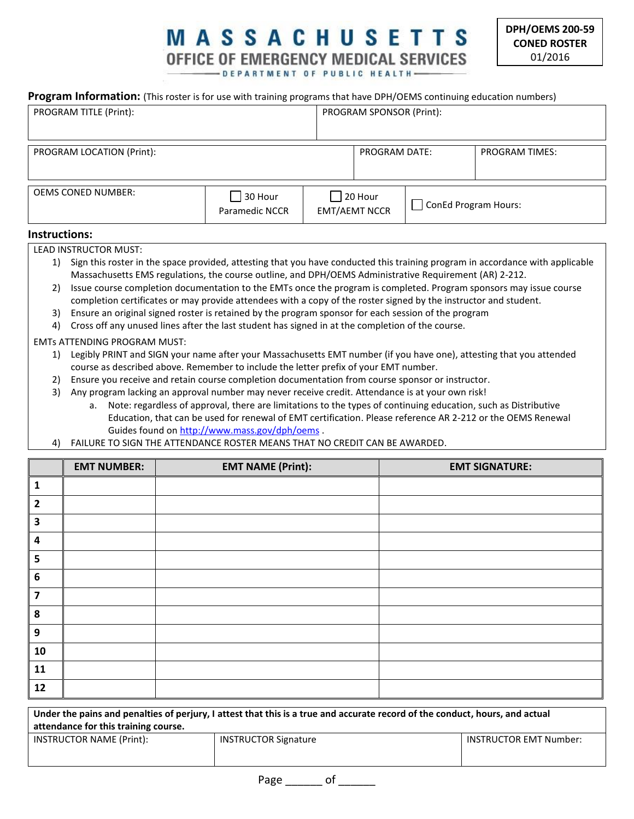## **MASSACHUSETTS** OFFICE OF EMERGENCY MEDICAL SERVICES -DEPARTMENT OF PUBLIC HEALTH-

**Program Information:** (This roster is for use with training programs that have DPH/OEMS continuing education numbers)

| PROGRAM TITLE (Print):    |                       | PROGRAM SPONSOR (Print): |                      |                       |
|---------------------------|-----------------------|--------------------------|----------------------|-----------------------|
|                           |                       |                          |                      |                       |
| PROGRAM LOCATION (Print): |                       | <b>PROGRAM DATE:</b>     |                      | <b>PROGRAM TIMES:</b> |
|                           |                       |                          |                      |                       |
|                           |                       |                          |                      |                       |
|                           |                       |                          |                      |                       |
| <b>OEMS CONED NUMBER:</b> |                       |                          |                      |                       |
|                           | 30 Hour               | $\vert$ 20 Hour          |                      |                       |
|                           |                       |                          | ConEd Program Hours: |                       |
|                           | <b>Paramedic NCCR</b> | <b>EMT/AEMT NCCR</b>     |                      |                       |
|                           |                       |                          |                      |                       |

## **Instructions:**

LEAD INSTRUCTOR MUST:

- 1) Sign this roster in the space provided, attesting that you have conducted this training program in accordance with applicable Massachusetts EMS regulations, the course outline, and DPH/OEMS Administrative Requirement (AR) 2-212.
- 2) Issue course completion documentation to the EMTs once the program is completed. Program sponsors may issue course completion certificates or may provide attendees with a copy of the roster signed by the instructor and student.
- 3) Ensure an original signed roster is retained by the program sponsor for each session of the program
- 4) Cross off any unused lines after the last student has signed in at the completion of the course.

## EMTs ATTENDING PROGRAM MUST:

- 1) Legibly PRINT and SIGN your name after your Massachusetts EMT number (if you have one), attesting that you attended course as described above. Remember to include the letter prefix of your EMT number.
- 2) Ensure you receive and retain course completion documentation from course sponsor or instructor.
- 3) Any program lacking an approval number may never receive credit. Attendance is at your own risk!
	- a. Note: regardless of approval, there are limitations to the types of continuing education, such as Distributive Education, that can be used for renewal of EMT certification. Please reference AR 2-212 or the OEMS Renewal Guides found on<http://www.mass.gov/dph/oems> .
- 4) FAILURE TO SIGN THE ATTENDANCE ROSTER MEANS THAT NO CREDIT CAN BE AWARDED.

|                         | <b>EMT NUMBER:</b> | <b>EMT NAME (Print):</b> | <b>EMT SIGNATURE:</b> |
|-------------------------|--------------------|--------------------------|-----------------------|
| 1                       |                    |                          |                       |
| $\overline{2}$          |                    |                          |                       |
| $\overline{\mathbf{3}}$ |                    |                          |                       |
| $\boldsymbol{4}$        |                    |                          |                       |
| 5                       |                    |                          |                       |
| 6                       |                    |                          |                       |
| $\overline{\mathbf{z}}$ |                    |                          |                       |
| 8                       |                    |                          |                       |
| 9                       |                    |                          |                       |
| 10                      |                    |                          |                       |
| 11                      |                    |                          |                       |
| 12                      |                    |                          |                       |

| Under the pains and penalties of perjury, I attest that this is a true and accurate record of the conduct, hours, and actual<br>attendance for this training course. |                             |                        |  |
|----------------------------------------------------------------------------------------------------------------------------------------------------------------------|-----------------------------|------------------------|--|
| INSTRUCTOR NAME (Print):                                                                                                                                             | <b>INSTRUCTOR Signature</b> | INSTRUCTOR EMT Number: |  |

Page \_\_\_\_\_\_\_\_ of \_\_\_\_\_\_\_